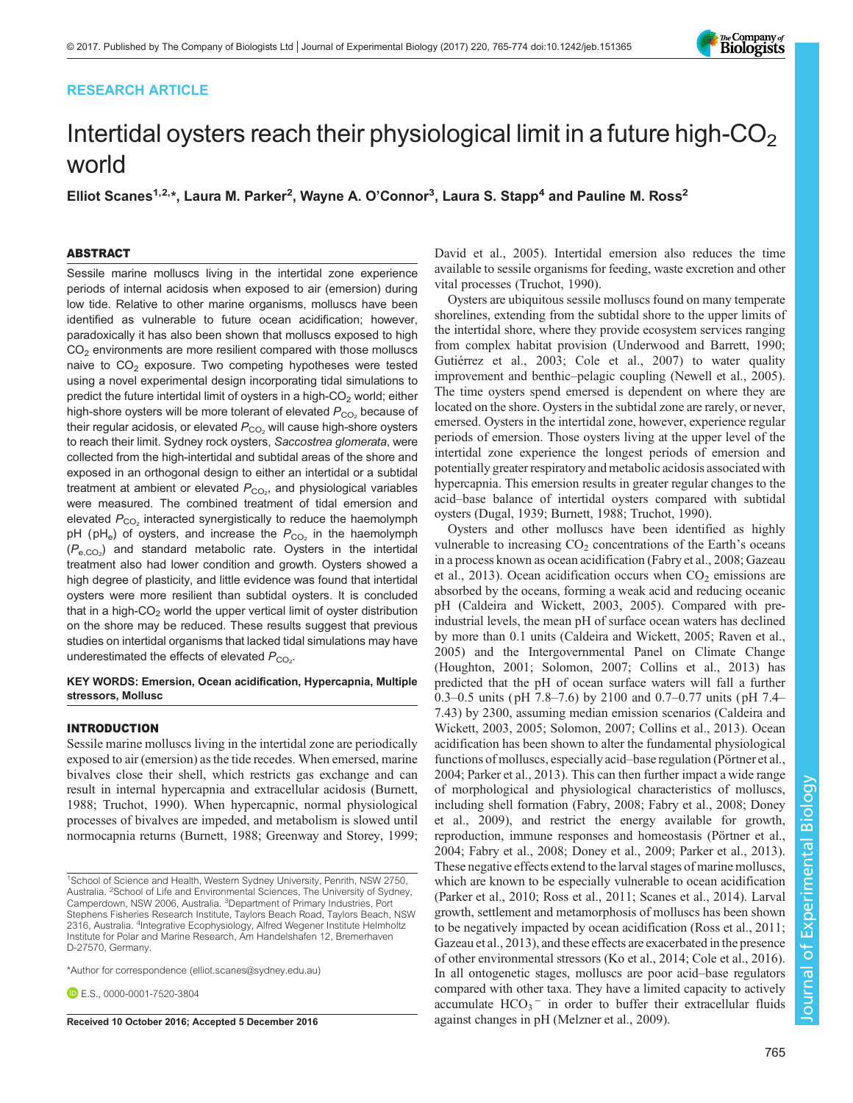# RESEARCH ARTICLE



# Intertidal oysters reach their physiological limit in a future high- $CO<sub>2</sub>$ world

Elliot Scanes<sup>1,2,</sup>\*, Laura M. Parker<sup>2</sup>, Wayne A. O'Connor<sup>3</sup>, Laura S. Stapp<sup>4</sup> and Pauline M. Ross<sup>2</sup>

# ABSTRACT

Sessile marine molluscs living in the intertidal zone experience periods of internal acidosis when exposed to air (emersion) during low tide. Relative to other marine organisms, molluscs have been identified as vulnerable to future ocean acidification; however, paradoxically it has also been shown that molluscs exposed to high  $CO<sub>2</sub>$  environments are more resilient compared with those molluscs naive to  $CO<sub>2</sub>$  exposure. Two competing hypotheses were tested using a novel experimental design incorporating tidal simulations to predict the future intertidal limit of oysters in a high- $CO<sub>2</sub>$  world; either high-shore oysters will be more tolerant of elevated  $P_{CO_2}$  because of their regular acidosis, or elevated  $P_{CO_2}$  will cause high-shore oysters to reach their limit. Sydney rock oysters, Saccostrea glomerata, were collected from the high-intertidal and subtidal areas of the shore and exposed in an orthogonal design to either an intertidal or a subtidal treatment at ambient or elevated  $P_{\rm CO_2}$ , and physiological variables were measured. The combined treatment of tidal emersion and elevated  $P_{CO_2}$  interacted synergistically to reduce the haemolymph pH ( $pH_e$ ) of oysters, and increase the  $P_{CO_2}$  in the haemolymph  $(\mathcal{P}_{e,\text{CO}_2})$  and standard metabolic rate. Oysters in the intertidal treatment also had lower condition and growth. Oysters showed a high degree of plasticity, and little evidence was found that intertidal oysters were more resilient than subtidal oysters. It is concluded that in a high- $CO<sub>2</sub>$  world the upper vertical limit of oyster distribution on the shore may be reduced. These results suggest that previous studies on intertidal organisms that lacked tidal simulations may have underestimated the effects of elevated  $P_{\rm CO_2}$ .

# KEY WORDS: Emersion, Ocean acidification, Hypercapnia, Multiple stressors, Mollusc

# INTRODUCTION

Sessile marine molluscs living in the intertidal zone are periodically exposed to air (emersion) as the tide recedes. When emersed, marine bivalves close their shell, which restricts gas exchange and can result in internal hypercapnia and extracellular acidosis [\(Burnett,](#page-7-0) [1988](#page-7-0); [Truchot, 1990](#page-9-0)). When hypercapnic, normal physiological processes of bivalves are impeded, and metabolism is slowed until normocapnia returns [\(Burnett, 1988](#page-7-0); [Greenway and Storey, 1999](#page-8-0);

\*Author for correspondence [\(elliot.scanes@sydney.edu.au](mailto:elliot.scanes@sydney.edu.au))

**E.S.**, [0000-0001-7520-3804](http://orcid.org/0000-0001-7520-3804)

[David et al., 2005](#page-7-0)). Intertidal emersion also reduces the time available to sessile organisms for feeding, waste excretion and other vital processes ([Truchot, 1990\)](#page-9-0).

Oysters are ubiquitous sessile molluscs found on many temperate shorelines, extending from the subtidal shore to the upper limits of the intertidal shore, where they provide ecosystem services ranging from complex habitat provision [\(Underwood and Barrett, 1990](#page-9-0); [Gutiérrez et al., 2003](#page-8-0); [Cole et al., 2007\)](#page-7-0) to water quality improvement and benthic–pelagic coupling [\(Newell et al., 2005\)](#page-8-0). The time oysters spend emersed is dependent on where they are located on the shore. Oysters in the subtidal zone are rarely, or never, emersed. Oysters in the intertidal zone, however, experience regular periods of emersion. Those oysters living at the upper level of the intertidal zone experience the longest periods of emersion and potentially greater respiratory and metabolic acidosis associated with hypercapnia. This emersion results in greater regular changes to the acid–base balance of intertidal oysters compared with subtidal oysters ([Dugal, 1939;](#page-8-0) [Burnett, 1988;](#page-7-0) [Truchot, 1990\)](#page-9-0).

Oysters and other molluscs have been identified as highly vulnerable to increasing  $CO<sub>2</sub>$  concentrations of the Earth's oceans in a process known as ocean acidification ([Fabry et al., 2008; Gazeau](#page-8-0) [et al., 2013\)](#page-8-0). Ocean acidification occurs when  $CO<sub>2</sub>$  emissions are absorbed by the oceans, forming a weak acid and reducing oceanic pH [\(Caldeira and Wickett, 2003, 2005\)](#page-7-0). Compared with preindustrial levels, the mean pH of surface ocean waters has declined by more than 0.1 units [\(Caldeira and Wickett, 2005](#page-7-0); [Raven et al.,](#page-8-0) [2005\)](#page-8-0) and the Intergovernmental Panel on Climate Change [\(Houghton, 2001; Solomon, 2007;](#page-8-0) [Collins et al., 2013](#page-7-0)) has predicted that the pH of ocean surface waters will fall a further 0.3–0.5 units ( pH 7.8–7.6) by 2100 and 0.7–0.77 units ( pH 7.4– 7.43) by 2300, assuming median emission scenarios [\(Caldeira and](#page-7-0) [Wickett, 2003, 2005;](#page-7-0) [Solomon, 2007;](#page-8-0) [Collins et al., 2013\)](#page-7-0). Ocean acidification has been shown to alter the fundamental physiological functions of molluscs, especially acid–base regulation [\(Pörtner et al.,](#page-8-0) [2004;](#page-8-0) Parker et al., 2013). This can then further impact a wide range of morphological and physiological characteristics of molluscs, including shell formation [\(Fabry, 2008](#page-8-0); [Fabry et al., 2008](#page-8-0); [Doney](#page-8-0) [et al., 2009\)](#page-8-0), and restrict the energy available for growth, reproduction, immune responses and homeostasis ([Pörtner et al.,](#page-8-0) [2004; Fabry et al., 2008; Doney et al., 2009](#page-8-0); Parker et al., 2013). These negative effects extend to the larval stages of marine molluscs, which are known to be especially vulnerable to ocean acidification [\(Parker et al., 2010; Ross et al., 2011; Scanes et al., 2014](#page-8-0)). Larval growth, settlement and metamorphosis of molluscs has been shown to be negatively impacted by ocean acidification ([Ross et al., 2011](#page-8-0); [Gazeau et al., 2013\)](#page-8-0), and these effects are exacerbated in the presence of other environmental stressors ([Ko et al., 2014](#page-8-0); [Cole et al., 2016\)](#page-7-0). In all ontogenetic stages, molluscs are poor acid–base regulators compared with other taxa. They have a limited capacity to actively accumulate  $HCO_3$ <sup>-</sup> in order to buffer their extracellular fluids Received 10 October 2016; Accepted 5 December 2016 against changes in pH [\(Melzner et al., 2009\)](#page-8-0).

Journal of Experimental Biology

lournal of

Experimental Biology

<sup>&</sup>lt;sup>1</sup>School of Science and Health, Western Sydney University, Penrith, NSW 2750, Australia. <sup>2</sup>School of Life and Environmental Sciences, The University of Sydney, Camperdown, NSW 2006, Australia. <sup>3</sup>Department of Primary Industries, Port Stephens Fisheries Research Institute, Taylors Beach Road, Taylors Beach, NSW 2316, Australia. <sup>4</sup>Integrative Ecophysiology, Alfred Wegener Institute Helmholtz Institute for Polar and Marine Research, Am Handelshafen 12, Bremerhaven D-27570, Germany.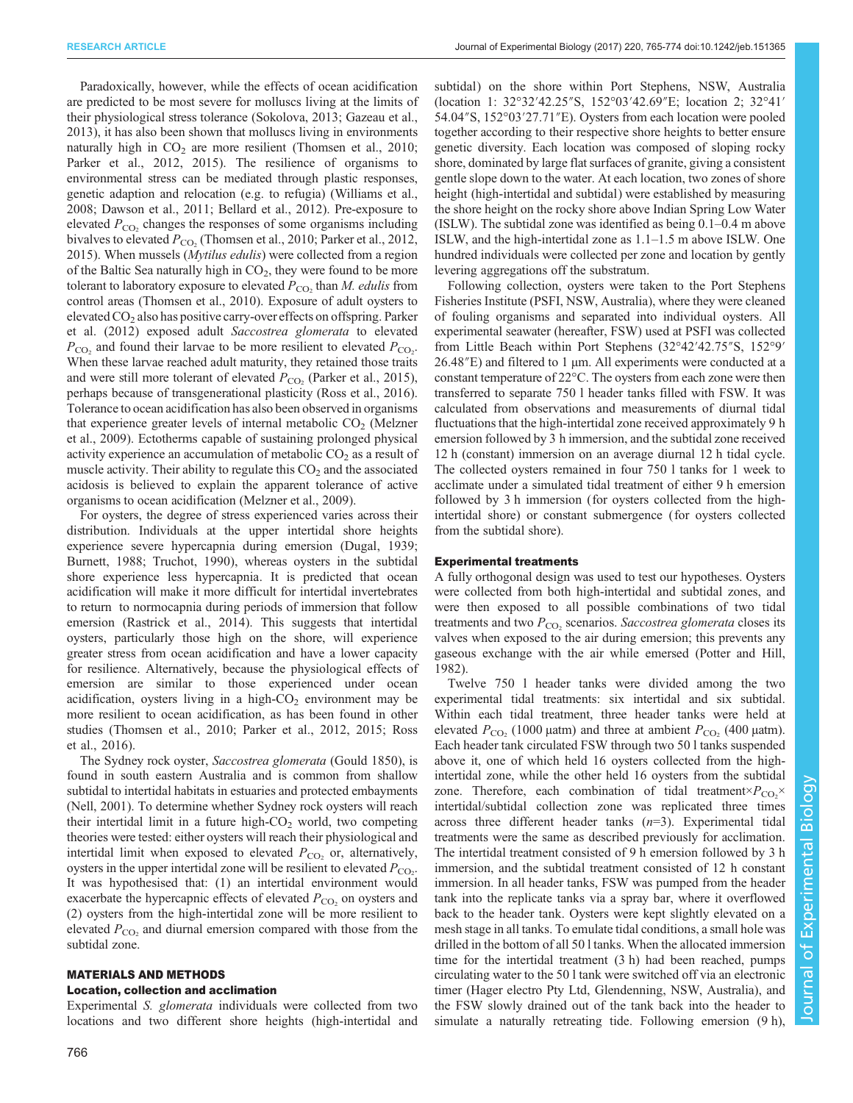Paradoxically, however, while the effects of ocean acidification are predicted to be most severe for molluscs living at the limits of their physiological stress tolerance ([Sokolova, 2013](#page-8-0); [Gazeau et al.,](#page-8-0) [2013](#page-8-0)), it has also been shown that molluscs living in environments naturally high in  $CO<sub>2</sub>$  are more resilient [\(Thomsen et al., 2010](#page-9-0); [Parker et al., 2012](#page-8-0), [2015](#page-8-0)). The resilience of organisms to environmental stress can be mediated through plastic responses, genetic adaption and relocation (e.g. to refugia) [\(Williams et al.,](#page-9-0) [2008](#page-9-0); [Dawson et al., 2011; Bellard et al., 2012\)](#page-7-0). Pre-exposure to elevated  $P_{\text{CO}}$ , changes the responses of some organisms including bivalves to elevated  $P_{CO<sub>2</sub>}$  ([Thomsen et al., 2010;](#page-9-0) [Parker et al., 2012,](#page-8-0) [2015](#page-8-0)). When mussels (Mytilus edulis) were collected from a region of the Baltic Sea naturally high in  $CO<sub>2</sub>$ , they were found to be more tolerant to laboratory exposure to elevated  $P_{CO_2}$  than M. *edulis* from control areas ([Thomsen et al., 2010\)](#page-9-0). Exposure of adult oysters to elevated CO2 also has positive carry-over effects on offspring. [Parker](#page-8-0) [et al. \(2012\)](#page-8-0) exposed adult Saccostrea glomerata to elevated  $P_{\text{CO}_2}$  and found their larvae to be more resilient to elevated  $P_{\text{CO}_2}$ . When these larvae reached adult maturity, they retained those traits and were still more tolerant of elevated  $P_{\rm CO_2}$  ([Parker et al., 2015\)](#page-8-0), perhaps because of transgenerational plasticity ([Ross et al., 2016\)](#page-8-0). Tolerance to ocean acidification has also been observed in organisms that experience greater levels of internal metabolic  $CO<sub>2</sub>$  ([Melzner](#page-8-0) [et al., 2009\)](#page-8-0). Ectotherms capable of sustaining prolonged physical activity experience an accumulation of metabolic  $CO<sub>2</sub>$  as a result of muscle activity. Their ability to regulate this  $CO<sub>2</sub>$  and the associated acidosis is believed to explain the apparent tolerance of active organisms to ocean acidification ([Melzner et al., 2009](#page-8-0)).

For oysters, the degree of stress experienced varies across their distribution. Individuals at the upper intertidal shore heights experience severe hypercapnia during emersion [\(Dugal, 1939](#page-8-0); [Burnett, 1988](#page-7-0); [Truchot, 1990](#page-9-0)), whereas oysters in the subtidal shore experience less hypercapnia. It is predicted that ocean acidification will make it more difficult for intertidal invertebrates to return to normocapnia during periods of immersion that follow emersion [\(Rastrick et al., 2014](#page-8-0)). This suggests that intertidal oysters, particularly those high on the shore, will experience greater stress from ocean acidification and have a lower capacity for resilience. Alternatively, because the physiological effects of emersion are similar to those experienced under ocean acidification, oysters living in a high- $CO<sub>2</sub>$  environment may be more resilient to ocean acidification, as has been found in other studies [\(Thomsen et al., 2010](#page-9-0); [Parker et al., 2012, 2015; Ross](#page-8-0) [et al., 2016\)](#page-8-0).

The Sydney rock oyster, Saccostrea glomerata (Gould 1850), is found in south eastern Australia and is common from shallow subtidal to intertidal habitats in estuaries and protected embayments [\(Nell, 2001](#page-8-0)). To determine whether Sydney rock oysters will reach their intertidal limit in a future high- $CO<sub>2</sub>$  world, two competing theories were tested: either oysters will reach their physiological and intertidal limit when exposed to elevated  $P_{CO_2}$  or, alternatively, oysters in the upper intertidal zone will be resilient to elevated  $P_{\text{CO}_2}$ . It was hypothesised that: (1) an intertidal environment would exacerbate the hypercapnic effects of elevated  $P_{\rm CO_2}$  on oysters and (2) oysters from the high-intertidal zone will be more resilient to elevated  $P_{\text{CO}_2}$  and diurnal emersion compared with those from the subtidal zone.

# MATERIALS AND METHODS

## Location, collection and acclimation

Experimental S. glomerata individuals were collected from two locations and two different shore heights (high-intertidal and subtidal) on the shore within Port Stephens, NSW, Australia (location 1: 32°32′42.25″S, 152°03′42.69″E; location 2; 32°41′ 54.04″S, 152°03′27.71″E). Oysters from each location were pooled together according to their respective shore heights to better ensure genetic diversity. Each location was composed of sloping rocky shore, dominated by large flat surfaces of granite, giving a consistent gentle slope down to the water. At each location, two zones of shore height (high-intertidal and subtidal) were established by measuring the shore height on the rocky shore above Indian Spring Low Water (ISLW). The subtidal zone was identified as being 0.1–0.4 m above ISLW, and the high-intertidal zone as 1.1–1.5 m above ISLW. One hundred individuals were collected per zone and location by gently levering aggregations off the substratum.

Following collection, oysters were taken to the Port Stephens Fisheries Institute (PSFI, NSW, Australia), where they were cleaned of fouling organisms and separated into individual oysters. All experimental seawater (hereafter, FSW) used at PSFI was collected from Little Beach within Port Stephens (32°42′42.75″S, 152°9′ 26.48″E) and filtered to 1 µm. All experiments were conducted at a constant temperature of 22°C. The oysters from each zone were then transferred to separate 750 l header tanks filled with FSW. It was calculated from observations and measurements of diurnal tidal fluctuations that the high-intertidal zone received approximately 9 h emersion followed by 3 h immersion, and the subtidal zone received 12 h (constant) immersion on an average diurnal 12 h tidal cycle. The collected oysters remained in four 750 l tanks for 1 week to acclimate under a simulated tidal treatment of either 9 h emersion followed by 3 h immersion (for oysters collected from the highintertidal shore) or constant submergence (for oysters collected from the subtidal shore).

## Experimental treatments

A fully orthogonal design was used to test our hypotheses. Oysters were collected from both high-intertidal and subtidal zones, and were then exposed to all possible combinations of two tidal treatments and two  $P_{CO_2}$  scenarios. Saccostrea glomerata closes its valves when exposed to the air during emersion; this prevents any gaseous exchange with the air while emersed [\(Potter and Hill,](#page-8-0) [1982\)](#page-8-0).

Twelve 750 l header tanks were divided among the two experimental tidal treatments: six intertidal and six subtidal. Within each tidal treatment, three header tanks were held at elevated  $P_{\text{CO}_2}$  (1000 µatm) and three at ambient  $P_{\text{CO}_2}$  (400 µatm). Each header tank circulated FSW through two 50 l tanks suspended above it, one of which held 16 oysters collected from the highintertidal zone, while the other held 16 oysters from the subtidal zone. Therefore, each combination of tidal treatment  $\times P_{CO_2} \times$ intertidal/subtidal collection zone was replicated three times across three different header tanks  $(n=3)$ . Experimental tidal treatments were the same as described previously for acclimation. The intertidal treatment consisted of 9 h emersion followed by 3 h immersion, and the subtidal treatment consisted of 12 h constant immersion. In all header tanks, FSW was pumped from the header tank into the replicate tanks via a spray bar, where it overflowed back to the header tank. Oysters were kept slightly elevated on a mesh stage in all tanks. To emulate tidal conditions, a small hole was drilled in the bottom of all 50 l tanks. When the allocated immersion time for the intertidal treatment (3 h) had been reached, pumps circulating water to the 50 l tank were switched off via an electronic timer (Hager electro Pty Ltd, Glendenning, NSW, Australia), and the FSW slowly drained out of the tank back into the header to simulate a naturally retreating tide. Following emersion (9 h),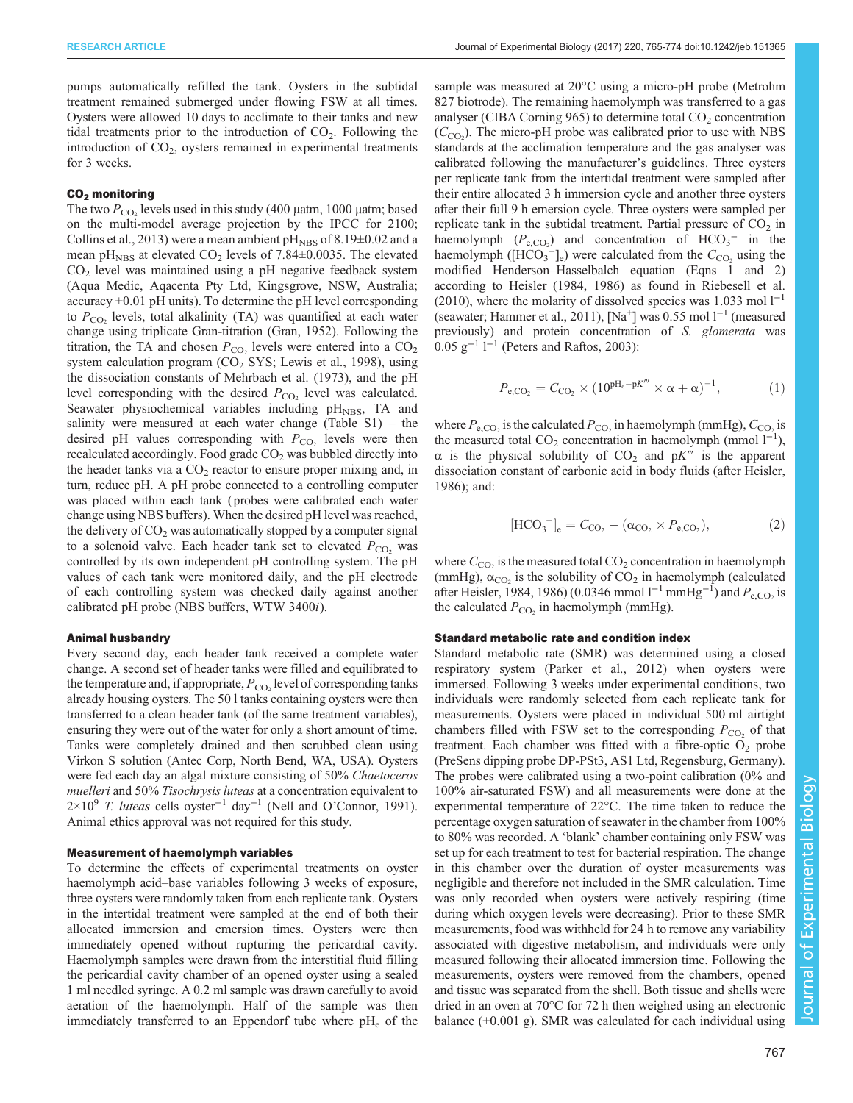pumps automatically refilled the tank. Oysters in the subtidal treatment remained submerged under flowing FSW at all times. Oysters were allowed 10 days to acclimate to their tanks and new tidal treatments prior to the introduction of  $CO<sub>2</sub>$ . Following the introduction of  $CO<sub>2</sub>$ , oysters remained in experimental treatments for 3 weeks.

# CO<sub>2</sub> monitoring

The two  $P_{\rm CO}$ , levels used in this study (400 µatm, 1000 µatm; based on the multi-model average projection by the IPCC for 2100; [Collins et al., 2013\)](#page-7-0) were a mean ambient  $\text{pH}_{\text{NBS}}$  of 8.19 $\pm$ 0.02 and a mean pH<sub>NBS</sub> at elevated  $CO<sub>2</sub>$  levels of 7.84 $\pm$ 0.0035. The elevated  $CO<sub>2</sub>$  level was maintained using a pH negative feedback system (Aqua Medic, Aqacenta Pty Ltd, Kingsgrove, NSW, Australia; accuracy  $\pm 0.01$  pH units). To determine the pH level corresponding to  $P_{\text{CO}_2}$  levels, total alkalinity (TA) was quantified at each water change using triplicate Gran-titration [\(Gran, 1952](#page-8-0)). Following the titration, the TA and chosen  $P_{\text{CO}_2}$  levels were entered into a  $\text{CO}_2$ system calculation program  $(CO<sub>2</sub>$  SYS; [Lewis et al., 1998\)](#page-8-0), using the dissociation constants of [Mehrbach et al. \(1973\)](#page-8-0), and the pH level corresponding with the desired  $P_{\rm CO_2}$  level was calculated. Seawater physiochemical variables including  $pH<sub>NBS</sub>$ , TA and salinity were measured at each water change ([Table S1](http://jeb.biologists.org/lookup/doi/10.1242/jeb.151365.supplemental)) – the desired pH values corresponding with  $P_{\text{CO}_2}$  levels were then recalculated accordingly. Food grade  $CO<sub>2</sub>$  was bubbled directly into the header tanks via a  $CO<sub>2</sub>$  reactor to ensure proper mixing and, in turn, reduce pH. A pH probe connected to a controlling computer was placed within each tank ( probes were calibrated each water change using NBS buffers). When the desired pH level was reached, the delivery of  $CO<sub>2</sub>$  was automatically stopped by a computer signal to a solenoid valve. Each header tank set to elevated  $P_{CO_2}$  was controlled by its own independent pH controlling system. The pH values of each tank were monitored daily, and the pH electrode of each controlling system was checked daily against another calibrated pH probe (NBS buffers, WTW 3400i).

## Animal husbandry

Every second day, each header tank received a complete water change. A second set of header tanks were filled and equilibrated to the temperature and, if appropriate,  $P_{\text{CO}_2}$  level of corresponding tanks already housing oysters. The 50 l tanks containing oysters were then transferred to a clean header tank (of the same treatment variables), ensuring they were out of the water for only a short amount of time. Tanks were completely drained and then scrubbed clean using Virkon S solution (Antec Corp, North Bend, WA, USA). Oysters were fed each day an algal mixture consisting of 50% Chaetoceros muelleri and 50% Tisochrysis luteas at a concentration equivalent to 2×10<sup>9</sup> T. luteas cells oyster<sup>-1</sup> day<sup>-1</sup> (Nell and O'[Connor, 1991\)](#page-8-0). Animal ethics approval was not required for this study.

# Measurement of haemolymph variables

To determine the effects of experimental treatments on oyster haemolymph acid–base variables following 3 weeks of exposure, three oysters were randomly taken from each replicate tank. Oysters in the intertidal treatment were sampled at the end of both their allocated immersion and emersion times. Oysters were then immediately opened without rupturing the pericardial cavity. Haemolymph samples were drawn from the interstitial fluid filling the pericardial cavity chamber of an opened oyster using a sealed 1 ml needled syringe. A 0.2 ml sample was drawn carefully to avoid aeration of the haemolymph. Half of the sample was then immediately transferred to an Eppendorf tube where  $pH_e$  of the

sample was measured at 20°C using a micro-pH probe (Metrohm 827 biotrode). The remaining haemolymph was transferred to a gas analyser (CIBA Corning 965) to determine total  $CO<sub>2</sub>$  concentration  $(C<sub>CO2</sub>)$ . The micro-pH probe was calibrated prior to use with NBS standards at the acclimation temperature and the gas analyser was calibrated following the manufacturer's guidelines. Three oysters per replicate tank from the intertidal treatment were sampled after their entire allocated 3 h immersion cycle and another three oysters after their full 9 h emersion cycle. Three oysters were sampled per replicate tank in the subtidal treatment. Partial pressure of  $CO<sub>2</sub>$  in haemolymph  $(P_{e, CO_2})$  and concentration of  $HCO_3^-$  in the haemolymph ( $[HCO_3^-]_e$ ) were calculated from the  $C_{CO_2}$  using the modified Henderson–Hasselbalch equation (Eqns 1 and 2) according to [Heisler \(1984](#page-8-0), [1986](#page-8-0)) as found in [Riebesell et al.](#page-8-0) [\(2010\)](#page-8-0), where the molarity of dissolved species was 1.033 mol  $1^{-1}$ (seawater; [Hammer et al., 2011](#page-8-0)), [Na+] was 0.55 mol l−<sup>1</sup> (measured previously) and protein concentration of S. glomerata was  $0.05$  g<sup>-1</sup> l<sup>-1</sup> ([Peters and Raftos, 2003\)](#page-8-0):

$$
P_{e, \text{CO}_2} = C_{\text{CO}_2} \times (10^{pH_e - pK'''} \times \alpha + \alpha)^{-1}, \tag{1}
$$

where  $P_{\rm e,CO}$  is the calculated  $P_{\rm CO}$  in haemolymph (mmHg),  $C_{\rm CO}$  is the measured total  $CO_2$  concentration in haemolymph (mmol  $l^{-1}$ ),  $\alpha$  is the physical solubility of CO<sub>2</sub> and pK<sup>'''</sup> is the apparent dissociation constant of carbonic acid in body fluids (after [Heisler,](#page-8-0) [1986\)](#page-8-0); and:

$$
[HCO3-]e = CCO2 - (\alphaCO2 \times Pe,CO2), \qquad (2)
$$

where  $C_{\text{CO}}$ , is the measured total  $\text{CO}_2$  concentration in haemolymph (mmHg),  $\alpha_{\rm CO_2}$  is the solubility of  $\rm CO_2$  in haemolymph (calculated after [Heisler, 1984](#page-8-0), [1986](#page-8-0)) (0.0346 mmol  $l^{-1}$  mmHg<sup>-1</sup>) and  $P_{\rm e,CO_2}$  is the calculated  $P_{CO_2}$  in haemolymph (mmHg).

## Standard metabolic rate and condition index

Standard metabolic rate (SMR) was determined using a closed respiratory system [\(Parker et al., 2012\)](#page-8-0) when oysters were immersed. Following 3 weeks under experimental conditions, two individuals were randomly selected from each replicate tank for measurements. Oysters were placed in individual 500 ml airtight chambers filled with FSW set to the corresponding  $P_{\text{CO}_2}$  of that treatment. Each chamber was fitted with a fibre-optic  $O_2$  probe (PreSens dipping probe DP-PSt3, AS1 Ltd, Regensburg, Germany). The probes were calibrated using a two-point calibration (0% and 100% air-saturated FSW) and all measurements were done at the experimental temperature of 22°C. The time taken to reduce the percentage oxygen saturation of seawater in the chamber from 100% to 80% was recorded. A 'blank' chamber containing only FSW was set up for each treatment to test for bacterial respiration. The change in this chamber over the duration of oyster measurements was negligible and therefore not included in the SMR calculation. Time was only recorded when oysters were actively respiring (time during which oxygen levels were decreasing). Prior to these SMR measurements, food was withheld for 24 h to remove any variability associated with digestive metabolism, and individuals were only measured following their allocated immersion time. Following the measurements, oysters were removed from the chambers, opened and tissue was separated from the shell. Both tissue and shells were dried in an oven at 70°C for 72 h then weighed using an electronic balance  $(\pm 0.001 \text{ g})$ . SMR was calculated for each individual using

Experimental Biology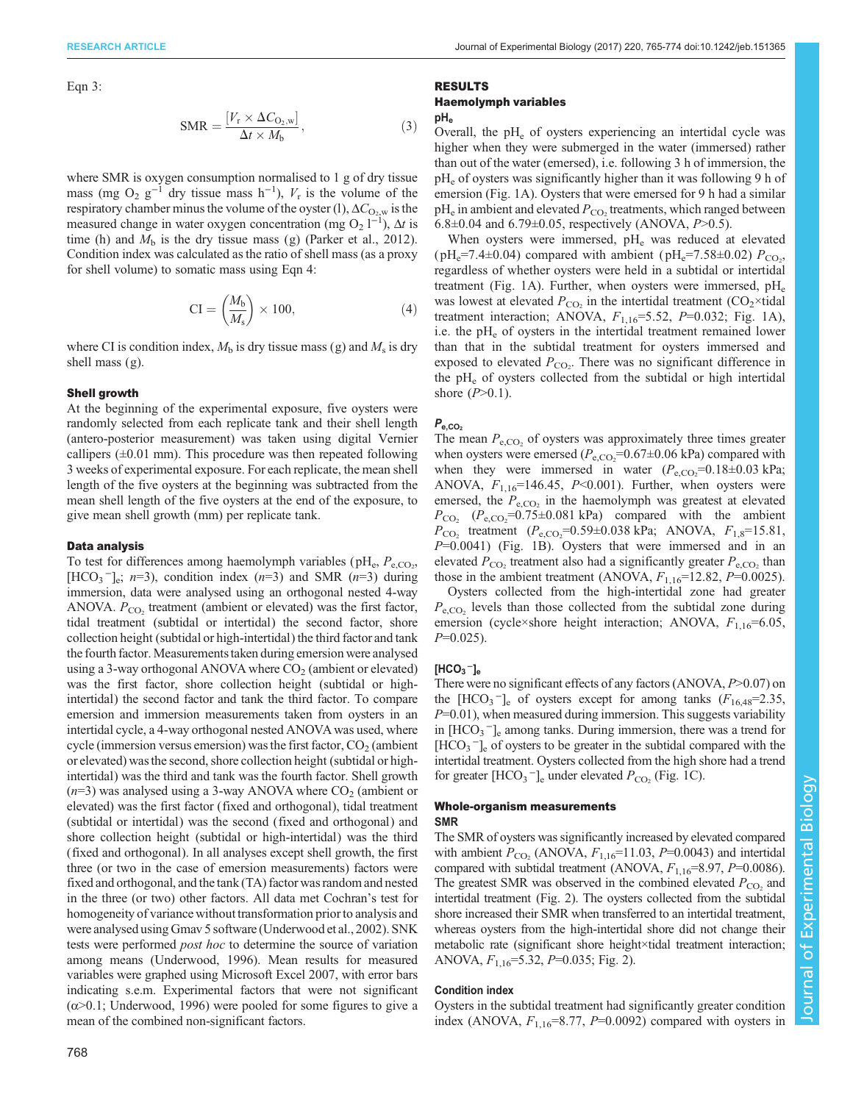Eqn 3:

$$
SMR = \frac{[V_r \times \Delta C_{O_2, w}]}{\Delta t \times M_b},
$$
\n(3)

where SMR is oxygen consumption normalised to 1 g of dry tissue mass (mg O<sub>2</sub> g<sup>-1</sup> dry tissue mass h<sup>-1</sup>),  $V_r$  is the volume of the respiratory chamber minus the volume of the oyster (1),  $\Delta C_{\text{O}_2, \text{w}}$  is the measured change in water oxygen concentration (mg O<sub>2</sub> l<sup>-1</sup>),  $\Delta t$  is time (h) and  $M<sub>b</sub>$  is the dry tissue mass (g) [\(Parker et al., 2012\)](#page-8-0). Condition index was calculated as the ratio of shell mass (as a proxy for shell volume) to somatic mass using Eqn 4:

$$
CI = \left(\frac{M_b}{M_s}\right) \times 100,\tag{4}
$$

where CI is condition index,  $M<sub>b</sub>$  is dry tissue mass (g) and  $M<sub>s</sub>$  is dry shell mass (g).

## Shell growth

At the beginning of the experimental exposure, five oysters were randomly selected from each replicate tank and their shell length (antero-posterior measurement) was taken using digital Vernier callipers  $(\pm 0.01 \text{ mm})$ . This procedure was then repeated following 3 weeks of experimental exposure. For each replicate, the mean shell length of the five oysters at the beginning was subtracted from the mean shell length of the five oysters at the end of the exposure, to give mean shell growth (mm) per replicate tank.

## Data analysis

To test for differences among haemolymph variables ( $pH_e$ ,  $P_{e, CO_2}$ , [HCO<sub>3</sub><sup>-</sup>]<sub>e</sub>; n=3), condition index (n=3) and SMR (n=3) during immersion, data were analysed using an orthogonal nested 4-way ANOVA.  $P_{CO_2}$  treatment (ambient or elevated) was the first factor, tidal treatment (subtidal or intertidal) the second factor, shore collection height (subtidal or high-intertidal) the third factor and tank the fourth factor.Measurementstaken during emersion were analysed using a 3-way orthogonal ANOVA where  $CO<sub>2</sub>$  (ambient or elevated) was the first factor, shore collection height (subtidal or highintertidal) the second factor and tank the third factor. To compare emersion and immersion measurements taken from oysters in an intertidal cycle, a 4-way orthogonal nested ANOVA was used, where cycle (immersion versus emersion) was the first factor,  $CO<sub>2</sub>$  (ambient or elevated) was the second, shore collection height (subtidal or highintertidal) was the third and tank was the fourth factor. Shell growth  $(n=3)$  was analysed using a 3-way ANOVA where  $CO<sub>2</sub>$  (ambient or elevated) was the first factor (fixed and orthogonal), tidal treatment (subtidal or intertidal) was the second (fixed and orthogonal) and shore collection height (subtidal or high-intertidal) was the third (fixed and orthogonal). In all analyses except shell growth, the first three (or two in the case of emersion measurements) factors were fixed and orthogonal, and the tank (TA) factor was random and nested in the three (or two) other factors. All data met Cochran's test for homogeneity of variance without transformation prior to analysis and were analysed using Gmav 5 software [\(Underwood et al., 2002](#page-9-0)). SNK tests were performed post hoc to determine the source of variation among means [\(Underwood, 1996\)](#page-9-0). Mean results for measured variables were graphed using Microsoft Excel 2007, with error bars indicating s.e.m. Experimental factors that were not significant  $(\alpha > 0.1;$  [Underwood, 1996](#page-9-0)) were pooled for some figures to give a mean of the combined non-significant factors.

# RESULTS Haemolymph variables

pH<sub>e</sub>

Overall, the  $pH<sub>e</sub>$  of oysters experiencing an intertidal cycle was higher when they were submerged in the water (immersed) rather than out of the water (emersed), i.e. following 3 h of immersion, the pH<sub>e</sub> of oysters was significantly higher than it was following 9 h of emersion ([Fig. 1A](#page-4-0)). Oysters that were emersed for 9 h had a similar  $pH_e$  in ambient and elevated  $P_{CO_2}$  treatments, which ranged between 6.8 $\pm$ 0.04 and 6.79 $\pm$ 0.05, respectively (ANOVA, P>0.5).

When oysters were immersed, pH<sub>e</sub> was reduced at elevated (pH<sub>e</sub>=7.4±0.04) compared with ambient (pH<sub>e</sub>=7.58±0.02)  $P_{CO_2}$ , regardless of whether oysters were held in a subtidal or intertidal treatment ([Fig. 1A](#page-4-0)). Further, when oysters were immersed,  $pH_e$ was lowest at elevated  $P_{\text{CO}_2}$  in the intertidal treatment (CO<sub>2</sub>×tidal treatment interaction; ANOVA,  $F_{1,16} = 5.52$ ,  $P = 0.032$ ; [Fig. 1A](#page-4-0)), i.e. the  $pH_e$  of oysters in the intertidal treatment remained lower than that in the subtidal treatment for oysters immersed and exposed to elevated  $P_{CO_2}$ . There was no significant difference in the  $pH_e$  of oysters collected from the subtidal or high intertidal shore  $(P>0.1)$ .

# $P_{e,CO<sub>2</sub>}$

The mean  $P_{\text{e,CO}}$  of oysters was approximately three times greater when oysters were emersed  $(P_{e, CO_2} = 0.67 \pm 0.06 \text{ kPa})$  compared with when they were immersed in water  $(P_{e,CO_2}=0.18\pm0.03 \text{ kPa};$ ANOVA,  $F_{1,16}$ =146.45, P<0.001). Further, when oysters were emersed, the  $P_{e,CO_2}$  in the haemolymph was greatest at elevated  $P_{\text{CO}_2}$  ( $P_{\text{e,CO}_2}$ =0.75±0.081 kPa) compared with the ambient  $P_{\text{CO}_2}$  treatment  $(P_{\text{e,CO}_2}=0.59\pm0.038 \text{ kPa}; \text{ANOVA}, F_{1,8}=15.81,$  $P=0.0041$ ) ([Fig. 1](#page-4-0)B). Oysters that were immersed and in an elevated  $P_{\rm CO}$ , treatment also had a significantly greater  $P_{\rm e,CO}$ , than those in the ambient treatment (ANOVA,  $F_{1,16}$ =12.82, P=0.0025).

Oysters collected from the high-intertidal zone had greater  $P_{\rm e,CO}$ , levels than those collected from the subtidal zone during emersion (cycle×shore height interaction; ANOVA,  $F_{1,16}$ =6.05,  $P=0.025$ ).

# $[HCO<sub>3</sub>^-]_e$

There were no significant effects of any factors  $(ANOVA, P>0.07)$  on the  $[HCO<sub>3</sub><sup>-</sup>]_{e}$  of oysters except for among tanks  $(F<sub>16,48</sub>=2.35,$  $P=0.01$ ), when measured during immersion. This suggests variability in [HCO<sub>3</sub><sup>−</sup>]<sub>e</sub> among tanks. During immersion, there was a trend for [HCO<sub>3</sub><sup>-</sup>]<sub>e</sub> of oysters to be greater in the subtidal compared with the intertidal treatment. Oysters collected from the high shore had a trend for greater  $[\text{HCO}_3^-]_e$  under elevated  $P_{\text{CO}_2}$  [\(Fig. 1](#page-4-0)C).

## Whole-organism measurements SMR

The SMR of oysters was significantly increased by elevated compared with ambient  $P_{CO<sub>2</sub>}$  (ANOVA,  $F_{1,16}=11.03$ ,  $P=0.0043$ ) and intertidal compared with subtidal treatment (ANOVA,  $F_{1,16}$ =8.97, P=0.0086). The greatest SMR was observed in the combined elevated  $P_{\rm CO}$  and intertidal treatment [\(Fig. 2](#page-5-0)). The oysters collected from the subtidal shore increased their SMR when transferred to an intertidal treatment, whereas oysters from the high-intertidal shore did not change their metabolic rate (significant shore height×tidal treatment interaction; ANOVA,  $F_{1,16}$ =5.32,  $P$ =0.035; [Fig. 2](#page-5-0)).

# Condition index

Oysters in the subtidal treatment had significantly greater condition index (ANOVA,  $F_{1,16}$ =8.77, P=0.0092) compared with oysters in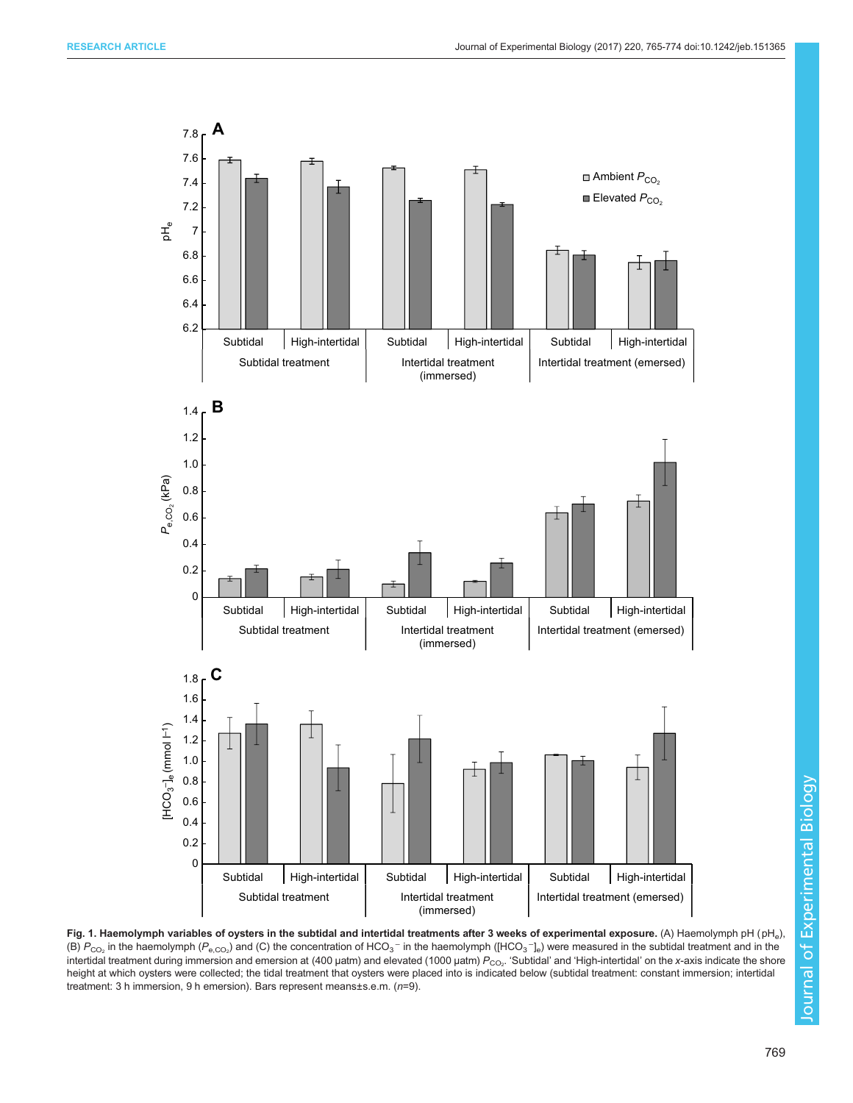<span id="page-4-0"></span>

Fig. 1. Haemolymph variables of oysters in the subtidal and intertidal treatments after 3 weeks of experimental exposure. (A) Haemolymph pH (pH<sub>e</sub>), (B)  $P_{CO_2}$  in the haemolymph ( $P_{e,CO_2}$ ) and (C) the concentration of HCO<sub>3</sub><sup>-</sup> in the haemolymph ([HCO<sub>3</sub><sup>-</sup>]<sub>e</sub>) were measured in the subtidal treatment and in the intertidal treatment during immersion and emersion at (400 µatm) and elevated (1000 µatm)  $P_{\rm CO_2}$ . 'Subtidal' and 'High-intertidal' on the x-axis indicate the shore height at which oysters were collected; the tidal treatment that oysters were placed into is indicated below (subtidal treatment: constant immersion; intertidal treatment: 3 h immersion, 9 h emersion). Bars represent means±s.e.m. (n=9).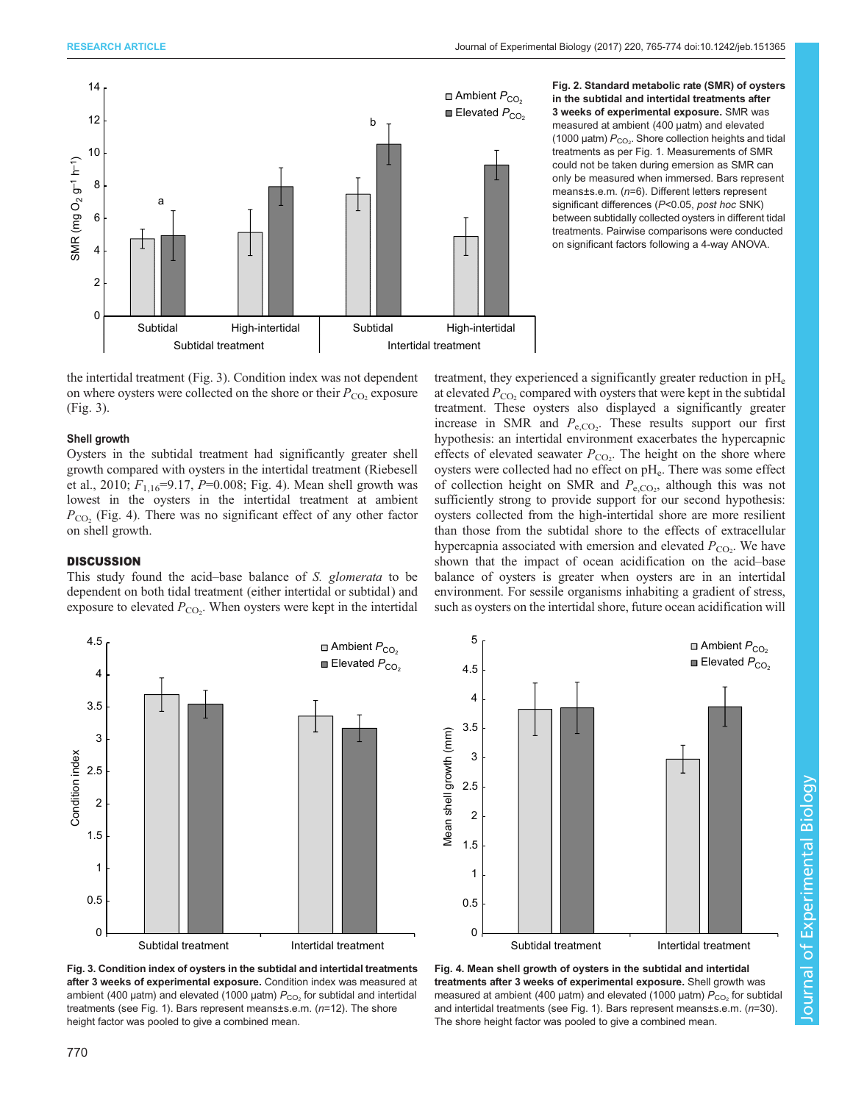<span id="page-5-0"></span>

Fig. 2. Standard metabolic rate (SMR) of oysters in the subtidal and intertidal treatments after 3 weeks of experimental exposure. SMR was measured at ambient (400 µatm) and elevated (1000  $\mu$ atm)  $P_{\rm CO_2}$ . Shore collection heights and tidal treatments as per [Fig. 1.](#page-4-0) Measurements of SMR could not be taken during emersion as SMR can only be measured when immersed. Bars represent means±s.e.m. (n=6). Different letters represent significant differences (P<0.05, post hoc SNK) between subtidally collected oysters in different tidal treatments. Pairwise comparisons were conducted on significant factors following a 4-way ANOVA.

the intertidal treatment (Fig. 3). Condition index was not dependent on where oysters were collected on the shore or their  $P_{\rm CO}$  exposure (Fig. 3).

# Shell growth

Oysters in the subtidal treatment had significantly greater shell growth compared with oysters in the intertidal treatment ([Riebesell](#page-8-0) [et al., 2010](#page-8-0);  $F_{1,16}$ =9.17, P=0.008; Fig. 4). Mean shell growth was lowest in the oysters in the intertidal treatment at ambient  $P_{\rm CO_2}$  (Fig. 4). There was no significant effect of any other factor on shell growth.

# **DISCUSSION**

This study found the acid–base balance of S. glomerata to be dependent on both tidal treatment (either intertidal or subtidal) and exposure to elevated  $P_{\text{CO}_2}$ . When oysters were kept in the intertidal

treatment, they experienced a significantly greater reduction in  $pH_e$ at elevated  $P_{\rm CO_2}$  compared with oysters that were kept in the subtidal treatment. These oysters also displayed a significantly greater increase in SMR and  $P_{e, CO_2}$ . These results support our first hypothesis: an intertidal environment exacerbates the hypercapnic effects of elevated seawater  $P_{\text{CO}_2}$ . The height on the shore where oysters were collected had no effect on  $pH_e$ . There was some effect of collection height on SMR and  $P_{\rm e,CO_2}$ , although this was not sufficiently strong to provide support for our second hypothesis: oysters collected from the high-intertidal shore are more resilient than those from the subtidal shore to the effects of extracellular hypercapnia associated with emersion and elevated  $P_{\text{CO}_2}$ . We have shown that the impact of ocean acidification on the acid–base balance of oysters is greater when oysters are in an intertidal environment. For sessile organisms inhabiting a gradient of stress, such as oysters on the intertidal shore, future ocean acidification will







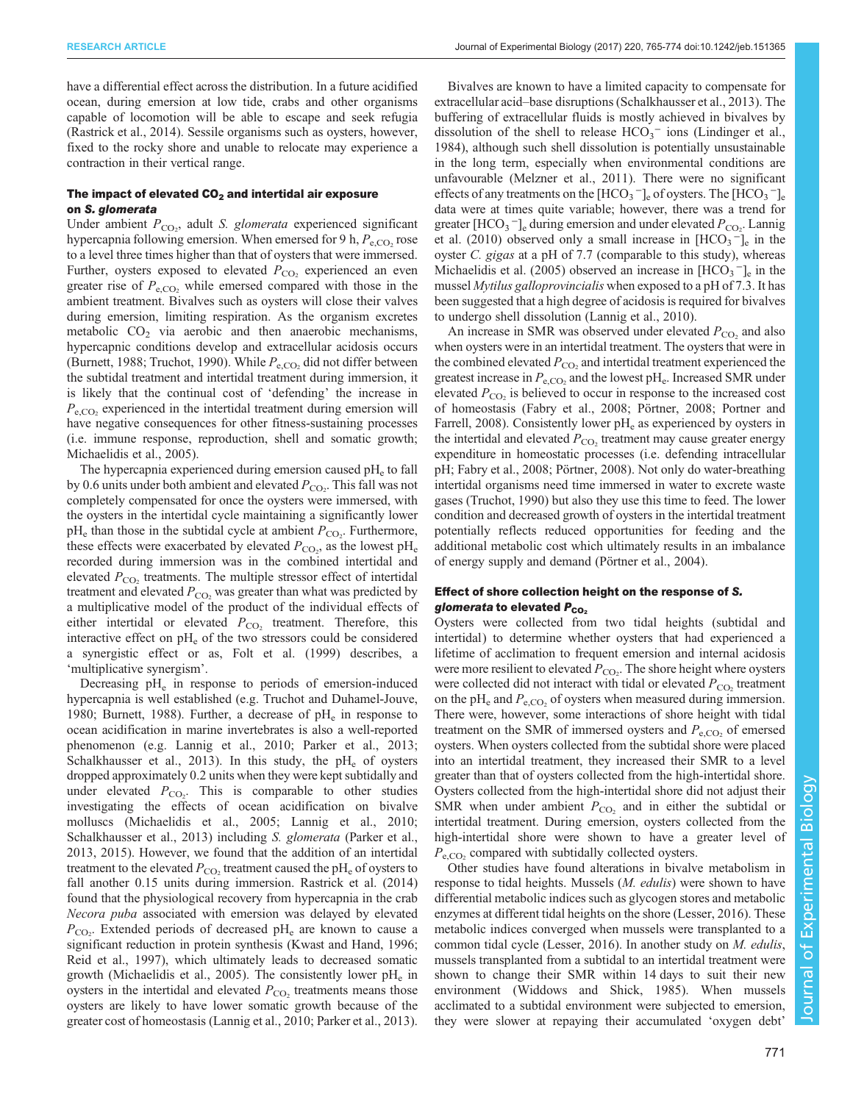have a differential effect across the distribution. In a future acidified ocean, during emersion at low tide, crabs and other organisms capable of locomotion will be able to escape and seek refugia [\(Rastrick et al., 2014\)](#page-8-0). Sessile organisms such as oysters, however, fixed to the rocky shore and unable to relocate may experience a contraction in their vertical range.

# The impact of elevated  $CO<sub>2</sub>$  and intertidal air exposure on S. glomerata

Under ambient  $P_{CO_2}$ , adult S. glomerata experienced significant hypercapnia following emersion. When emersed for 9 h,  $P_{e,CO_2}$  rose to a level three times higher than that of oysters that were immersed. Further, oysters exposed to elevated  $P_{\text{CO}}$ , experienced an even greater rise of  $P_{\text{e,CO}}$ , while emersed compared with those in the ambient treatment. Bivalves such as oysters will close their valves during emersion, limiting respiration. As the organism excretes metabolic  $CO<sub>2</sub>$  via aerobic and then anaerobic mechanisms, hypercapnic conditions develop and extracellular acidosis occurs [\(Burnett, 1988;](#page-7-0) [Truchot, 1990](#page-9-0)). While  $P_{\rm e,CO}$ , did not differ between the subtidal treatment and intertidal treatment during immersion, it is likely that the continual cost of 'defending' the increase in  $P_{\rm e,CO}$ , experienced in the intertidal treatment during emersion will have negative consequences for other fitness-sustaining processes (i.e. immune response, reproduction, shell and somatic growth; [Michaelidis et al., 2005\)](#page-8-0).

The hypercapnia experienced during emersion caused  $pH<sub>e</sub>$  to fall by 0.6 units under both ambient and elevated  $P_{\text{CO}_2}$ . This fall was not completely compensated for once the oysters were immersed, with the oysters in the intertidal cycle maintaining a significantly lower  $pH_e$  than those in the subtidal cycle at ambient  $P_{CO_2}$ . Furthermore, these effects were exacerbated by elevated  $P_{\text{CO}_2}$ , as the lowest pH<sub>e</sub> recorded during immersion was in the combined intertidal and elevated  $P_{\rm CO_2}$  treatments. The multiple stressor effect of intertidal treatment and elevated  $P_{\rm CO}$ , was greater than what was predicted by a multiplicative model of the product of the individual effects of either intertidal or elevated  $P_{CO_2}$  treatment. Therefore, this interactive effect on  $pH_e$  of the two stressors could be considered a synergistic effect or as, [Folt et al. \(1999\)](#page-8-0) describes, a 'multiplicative synergism'.

Decreasing  $pH_e$  in response to periods of emersion-induced hypercapnia is well established (e.g. [Truchot and Duhamel-Jouve,](#page-9-0) [1980](#page-9-0); [Burnett, 1988](#page-7-0)). Further, a decrease of  $pH_e$  in response to ocean acidification in marine invertebrates is also a well-reported phenomenon (e.g. [Lannig et al., 2010;](#page-8-0) Parker et al., 2013; [Schalkhausser et al., 2013](#page-8-0)). In this study, the  $pH_e$  of oysters dropped approximately 0.2 units when they were kept subtidally and under elevated  $P_{CO_2}$ . This is comparable to other studies investigating the effects of ocean acidification on bivalve molluscs ([Michaelidis et al., 2005; Lannig et al., 2010](#page-8-0); [Schalkhausser et al., 2013](#page-8-0)) including S. glomerata (Parker et al., 2013, [2015](#page-8-0)). However, we found that the addition of an intertidal treatment to the elevated  $P_{\text{CO}_2}$  treatment caused the pH<sub>e</sub> of oysters to fall another 0.15 units during immersion. [Rastrick et al. \(2014\)](#page-8-0) found that the physiological recovery from hypercapnia in the crab Necora puba associated with emersion was delayed by elevated  $P_{\text{CO}_2}$ . Extended periods of decreased pH<sub>e</sub> are known to cause a significant reduction in protein synthesis [\(Kwast and Hand, 1996](#page-8-0); [Reid et al., 1997\)](#page-8-0), which ultimately leads to decreased somatic growth [\(Michaelidis et al., 2005\)](#page-8-0). The consistently lower  $pH_e$  in oysters in the intertidal and elevated  $P_{\text{CO}_2}$  treatments means those oysters are likely to have lower somatic growth because of the greater cost of homeostasis [\(Lannig et al., 2010;](#page-8-0) Parker et al., 2013).

Bivalves are known to have a limited capacity to compensate for extracellular acid–base disruptions [\(Schalkhausser et al., 2013\)](#page-8-0). The buffering of extracellular fluids is mostly achieved in bivalves by dissolution of the shell to release  $HCO<sub>3</sub><sup>-</sup>$  ions [\(Lindinger et al.,](#page-8-0) [1984\)](#page-8-0), although such shell dissolution is potentially unsustainable in the long term, especially when environmental conditions are unfavourable ([Melzner et al., 2011](#page-8-0)). There were no significant effects of any treatments on the  $[HCO_3^-]_e$  of oysters. The  $[HCO_3^-]_e$ data were at times quite variable; however, there was a trend for greater [HCO<sub>3</sub><sup>-</sup>]<sub>e</sub> during emersion and under elevated  $P_{CO_2}$ . [Lannig](#page-8-0) [et al. \(2010\)](#page-8-0) observed only a small increase in  $[HCO<sub>3</sub><sup>-</sup>]$ <sub>e</sub> in the oyster C. gigas at a pH of 7.7 (comparable to this study), whereas [Michaelidis et al. \(2005\)](#page-8-0) observed an increase in  $[HCO<sub>3</sub><sup>-</sup>]_{e}$  in the mussel Mytilus galloprovincialis when exposed to a pH of 7.3. It has been suggested that a high degree of acidosis is required for bivalves to undergo shell dissolution [\(Lannig et al., 2010](#page-8-0)).

An increase in SMR was observed under elevated  $P_{\text{CO}_2}$  and also when oysters were in an intertidal treatment. The oysters that were in the combined elevated  $P_{\rm CO}$ , and intertidal treatment experienced the greatest increase in  $P_{e,CO_2}$  and the lowest pH<sub>e</sub>. Increased SMR under elevated  $P_{\text{CO}_2}$  is believed to occur in response to the increased cost of homeostasis ([Fabry et al., 2008; Pörtner, 2008](#page-8-0); [Portner and](#page-8-0) [Farrell, 2008](#page-8-0)). Consistently lower pH<sub>e</sub> as experienced by oysters in the intertidal and elevated  $P_{CO_2}$  treatment may cause greater energy expenditure in homeostatic processes (i.e. defending intracellular pH; [Fabry et al., 2008](#page-8-0); [Pörtner, 2008](#page-8-0)). Not only do water-breathing intertidal organisms need time immersed in water to excrete waste gases ([Truchot, 1990\)](#page-9-0) but also they use this time to feed. The lower condition and decreased growth of oysters in the intertidal treatment potentially reflects reduced opportunities for feeding and the additional metabolic cost which ultimately results in an imbalance of energy supply and demand [\(Pörtner et al., 2004](#page-8-0)).

# Effect of shore collection height on the response of S. glomerata to elevated  $P_{CO_2}$

Oysters were collected from two tidal heights (subtidal and intertidal) to determine whether oysters that had experienced a lifetime of acclimation to frequent emersion and internal acidosis were more resilient to elevated  $P_{\text{CO}_2}$ . The shore height where oysters were collected did not interact with tidal or elevated  $P_{\rm CO}$ , treatment on the pH<sub>e</sub> and  $P_{e,CO_2}$  of oysters when measured during immersion. There were, however, some interactions of shore height with tidal treatment on the SMR of immersed oysters and  $P_{\rm e,CO}$ , of emersed oysters. When oysters collected from the subtidal shore were placed into an intertidal treatment, they increased their SMR to a level greater than that of oysters collected from the high-intertidal shore. Oysters collected from the high-intertidal shore did not adjust their SMR when under ambient  $P_{CO<sub>2</sub>}$  and in either the subtidal or intertidal treatment. During emersion, oysters collected from the high-intertidal shore were shown to have a greater level of  $P_{\text{e,CO}}$ , compared with subtidally collected oysters.

Other studies have found alterations in bivalve metabolism in response to tidal heights. Mussels (M. edulis) were shown to have differential metabolic indices such as glycogen stores and metabolic enzymes at different tidal heights on the shore [\(Lesser, 2016](#page-8-0)). These metabolic indices converged when mussels were transplanted to a common tidal cycle ([Lesser, 2016](#page-8-0)). In another study on M. edulis, mussels transplanted from a subtidal to an intertidal treatment were shown to change their SMR within 14 days to suit their new environment [\(Widdows and Shick, 1985](#page-9-0)). When mussels acclimated to a subtidal environment were subjected to emersion, they were slower at repaying their accumulated 'oxygen debt'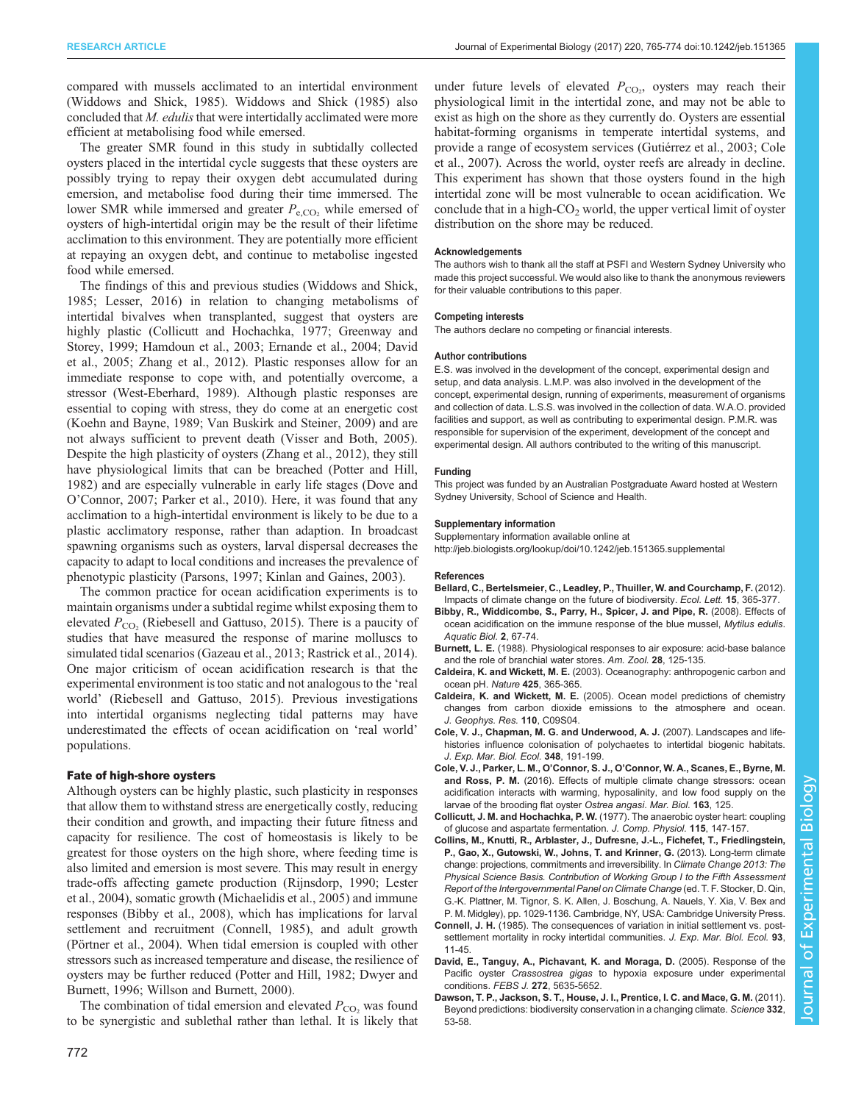<span id="page-7-0"></span>compared with mussels acclimated to an intertidal environment [\(Widdows and Shick, 1985](#page-9-0)). [Widdows and Shick \(1985\)](#page-9-0) also concluded that  $M$ . *edulis* that were intertidally acclimated were more efficient at metabolising food while emersed.

The greater SMR found in this study in subtidally collected oysters placed in the intertidal cycle suggests that these oysters are possibly trying to repay their oxygen debt accumulated during emersion, and metabolise food during their time immersed. The lower SMR while immersed and greater  $P_{e,CO}$ , while emersed of oysters of high-intertidal origin may be the result of their lifetime acclimation to this environment. They are potentially more efficient at repaying an oxygen debt, and continue to metabolise ingested food while emersed.

The findings of this and previous studies ([Widdows and Shick,](#page-9-0) [1985](#page-9-0); [Lesser, 2016\)](#page-8-0) in relation to changing metabolisms of intertidal bivalves when transplanted, suggest that oysters are highly plastic (Collicutt and Hochachka, 1977; [Greenway and](#page-8-0) [Storey, 1999; Hamdoun et al., 2003; Ernande et al., 2004](#page-8-0); David et al., 2005; [Zhang et al., 2012](#page-9-0)). Plastic responses allow for an immediate response to cope with, and potentially overcome, a stressor [\(West-Eberhard, 1989\)](#page-9-0). Although plastic responses are essential to coping with stress, they do come at an energetic cost [\(Koehn and Bayne, 1989](#page-8-0); [Van Buskirk and Steiner, 2009\)](#page-9-0) and are not always sufficient to prevent death ([Visser and Both, 2005\)](#page-9-0). Despite the high plasticity of oysters [\(Zhang et al., 2012\)](#page-9-0), they still have physiological limits that can be breached [\(Potter and Hill,](#page-8-0) [1982](#page-8-0)) and are especially vulnerable in early life stages [\(Dove and](#page-8-0) O'[Connor, 2007; Parker et al., 2010\)](#page-8-0). Here, it was found that any acclimation to a high-intertidal environment is likely to be due to a plastic acclimatory response, rather than adaption. In broadcast spawning organisms such as oysters, larval dispersal decreases the capacity to adapt to local conditions and increases the prevalence of phenotypic plasticity ([Parsons, 1997; Kinlan and Gaines, 2003\)](#page-8-0).

The common practice for ocean acidification experiments is to maintain organisms under a subtidal regime whilst exposing them to elevated  $P_{CO<sub>2</sub>}$  ([Riebesell and Gattuso, 2015](#page-8-0)). There is a paucity of studies that have measured the response of marine molluscs to simulated tidal scenarios ([Gazeau et al., 2013](#page-8-0); [Rastrick et al., 2014\)](#page-8-0). One major criticism of ocean acidification research is that the experimental environment is too static and not analogous to the 'real world' ([Riebesell and Gattuso, 2015](#page-8-0)). Previous investigations into intertidal organisms neglecting tidal patterns may have underestimated the effects of ocean acidification on 'real world' populations.

## Fate of high-shore oysters

Although oysters can be highly plastic, such plasticity in responses that allow them to withstand stress are energetically costly, reducing their condition and growth, and impacting their future fitness and capacity for resilience. The cost of homeostasis is likely to be greatest for those oysters on the high shore, where feeding time is also limited and emersion is most severe. This may result in energy trade-offs affecting gamete production [\(Rijnsdorp, 1990; Lester](#page-8-0) [et al., 2004\)](#page-8-0), somatic growth ([Michaelidis et al., 2005\)](#page-8-0) and immune responses (Bibby et al., 2008), which has implications for larval settlement and recruitment (Connell, 1985), and adult growth [\(Pörtner et al., 2004\)](#page-8-0). When tidal emersion is coupled with other stressors such as increased temperature and disease, the resilience of oysters may be further reduced [\(Potter and Hill, 1982; Dwyer and](#page-8-0) [Burnett, 1996](#page-8-0); [Willson and Burnett, 2000](#page-9-0)).

The combination of tidal emersion and elevated  $P_{\text{CO}}$ , was found to be synergistic and sublethal rather than lethal. It is likely that

under future levels of elevated  $P_{\text{CO}_2}$ , oysters may reach their physiological limit in the intertidal zone, and may not be able to exist as high on the shore as they currently do. Oysters are essential habitat-forming organisms in temperate intertidal systems, and provide a range of ecosystem services ([Gutiérrez et al., 2003](#page-8-0); Cole et al., 2007). Across the world, oyster reefs are already in decline. This experiment has shown that those oysters found in the high intertidal zone will be most vulnerable to ocean acidification. We conclude that in a high- $CO<sub>2</sub>$  world, the upper vertical limit of oyster distribution on the shore may be reduced.

### Acknowledgements

The authors wish to thank all the staff at PSFI and Western Sydney University who made this project successful. We would also like to thank the anonymous reviewers for their valuable contributions to this paper.

### Competing interests

The authors declare no competing or financial interests.

### Author contributions

E.S. was involved in the development of the concept, experimental design and setup, and data analysis. L.M.P. was also involved in the development of the concept, experimental design, running of experiments, measurement of organisms and collection of data. L.S.S. was involved in the collection of data. W.A.O. provided facilities and support, as well as contributing to experimental design. P.M.R. was responsible for supervision of the experiment, development of the concept and experimental design. All authors contributed to the writing of this manuscript.

## Funding

This project was funded by an Australian Postgraduate Award hosted at Western Sydney University, School of Science and Health.

## Supplementary information

Supplementary information available online at <http://jeb.biologists.org/lookup/doi/10.1242/jeb.151365.supplemental>

#### References

- [Bellard, C., Bertelsmeier, C., Leadley, P., Thuiller, W. and Courchamp, F.](http://dx.doi.org/10.1111/j.1461-0248.2011.01736.x) (2012). [Impacts of climate change on the future of biodiversity.](http://dx.doi.org/10.1111/j.1461-0248.2011.01736.x) Ecol. Lett. 15, 365-377.
- [Bibby, R., Widdicombe, S., Parry, H., Spicer, J. and Pipe, R.](http://dx.doi.org/10.3354/ab00037) (2008). Effects of [ocean acidification on the immune response of the blue mussel,](http://dx.doi.org/10.3354/ab00037) Mytilus edulis. [Aquatic Biol.](http://dx.doi.org/10.3354/ab00037) 2, 67-74.
- Burnett, L. E. [\(1988\). Physiological responses to air exposure: acid-base balance](http://dx.doi.org/10.1093/icb/28.1.125) [and the role of branchial water stores.](http://dx.doi.org/10.1093/icb/28.1.125) Am. Zool. 28, 125-135.
- Caldeira, K. and Wickett, M. E. [\(2003\). Oceanography: anthropogenic carbon and](http://dx.doi.org/10.1038/425365a) [ocean pH.](http://dx.doi.org/10.1038/425365a) Nature 425, 365-365.
- Caldeira, K. and Wickett, M. E. [\(2005\). Ocean model predictions of chemistry](http://dx.doi.org/10.1029/2004JC002671) [changes from carbon dioxide emissions to the atmosphere and ocean.](http://dx.doi.org/10.1029/2004JC002671) [J. Geophys. Res.](http://dx.doi.org/10.1029/2004JC002671) 110, C09S04.
- [Cole, V. J., Chapman, M. G. and Underwood, A. J.](http://dx.doi.org/10.1016/j.jembe.2007.05.001) (2007). Landscapes and life[histories influence colonisation of polychaetes to intertidal biogenic habitats.](http://dx.doi.org/10.1016/j.jembe.2007.05.001) [J. Exp. Mar. Biol. Ecol.](http://dx.doi.org/10.1016/j.jembe.2007.05.001) 348, 191-199.
- Cole, V. J., Parker, L. M., O'Connor, S. J., O'[Connor, W. A., Scanes, E., Byrne, M.](http://dx.doi.org/10.1007/s00227-016-2880-4) and Ross, P. M. [\(2016\). Effects of multiple climate change stressors: ocean](http://dx.doi.org/10.1007/s00227-016-2880-4) [acidification interacts with warming, hyposalinity, and low food supply on the](http://dx.doi.org/10.1007/s00227-016-2880-4) [larvae of the brooding flat oyster](http://dx.doi.org/10.1007/s00227-016-2880-4) Ostrea angasi. Mar. Biol. 163, 125.
- Collicutt, J. M. and Hochachka, P. W. [\(1977\). The anaerobic oyster heart: coupling](http://dx.doi.org/10.1007/BF00692526) [of glucose and aspartate fermentation.](http://dx.doi.org/10.1007/BF00692526) J. Comp. Physiol. 115, 147-157.
- Collins, M., Knutti, R., Arblaster, J., Dufresne, J.-L., Fichefet, T., Friedlingstein, P., Gao, X., Gutowski, W., Johns, T. and Krinner, G. (2013). Long-term climate change: projections, commitments and irreversibility. In Climate Change 2013: The Physical Science Basis. Contribution of Working Group I to the Fifth Assessment Report of the Intergovernmental Panel on Climate Change (ed. T. F. Stocker, D. Qin, G.-K. Plattner, M. Tignor, S. K. Allen, J. Boschung, A. Nauels, Y. Xia, V. Bex and P. M. Midgley), pp. 1029-1136. Cambridge, NY, USA: Cambridge University Press.
- Connell, J. H. [\(1985\). The consequences of variation in initial settlement vs. post](http://dx.doi.org/10.1016/0022-0981(85)90146-7)[settlement mortality in rocky intertidal communities.](http://dx.doi.org/10.1016/0022-0981(85)90146-7) J. Exp. Mar. Biol. Ecol. 93, [11-45.](http://dx.doi.org/10.1016/0022-0981(85)90146-7)
- [David, E., Tanguy, A., Pichavant, K. and Moraga, D.](http://dx.doi.org/10.1111/j.1742-4658.2005.04960.x) (2005). Response of the Pacific oyster Crassostrea gigas [to hypoxia exposure under experimental](http://dx.doi.org/10.1111/j.1742-4658.2005.04960.x) conditions. FEBS J. 272[, 5635-5652.](http://dx.doi.org/10.1111/j.1742-4658.2005.04960.x)
- [Dawson, T. P., Jackson, S. T., House, J. I., Prentice, I. C. and Mace, G. M.](http://dx.doi.org/10.1126/science.1200303) (2011). [Beyond predictions: biodiversity conservation in a changing climate.](http://dx.doi.org/10.1126/science.1200303) Science 332, [53-58.](http://dx.doi.org/10.1126/science.1200303)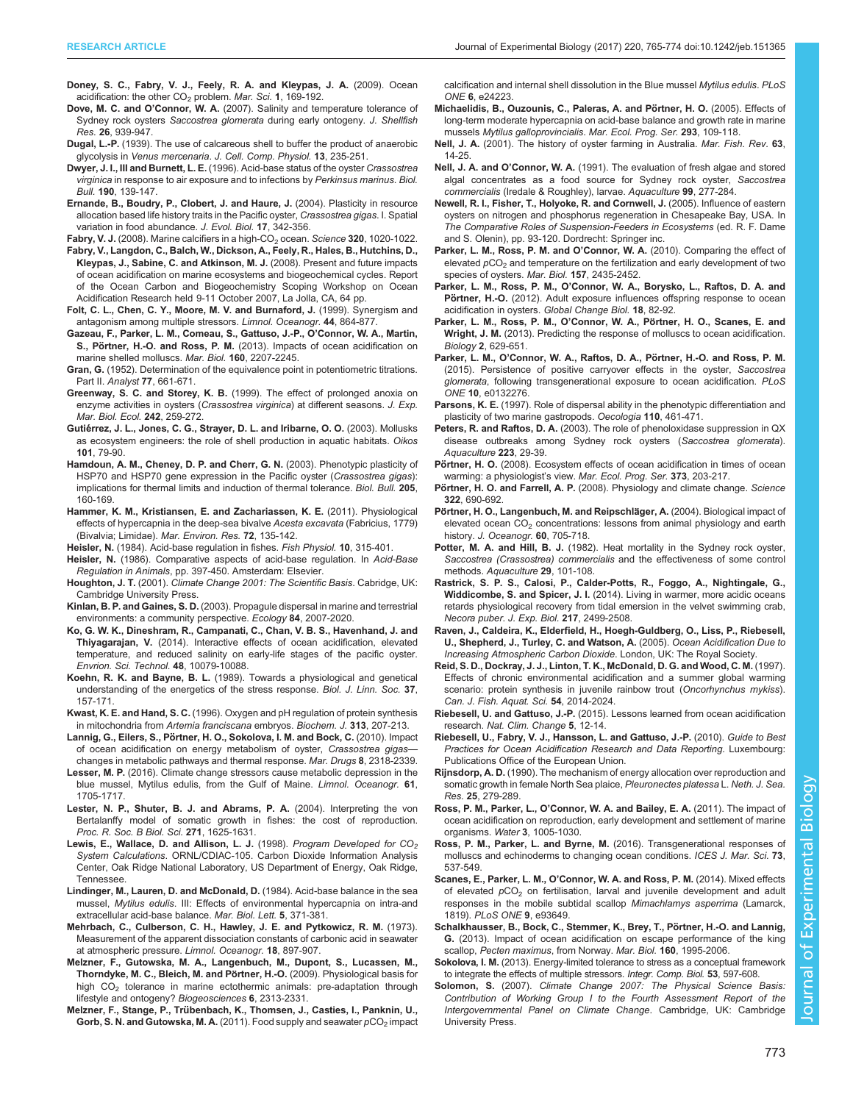- <span id="page-8-0"></span>[Doney, S. C., Fabry, V. J., Feely, R. A. and Kleypas, J. A.](http://dx.doi.org/10.1146/annurev.marine.010908.163834) (2009). Ocean acidification: the other  $CO<sub>2</sub>$  problem. Mar. Sci. 1[, 169-192.](http://dx.doi.org/10.1146/annurev.marine.010908.163834)
- Dove, M. C. and O'Connor, W. A. [\(2007\). Salinity and temperature tolerance of](http://dx.doi.org/10.2983/0730-8000(2007)26[939:SATTOS]2.0.CO;2) Sydney rock oysters Saccostrea glomerata [during early ontogeny.](http://dx.doi.org/10.2983/0730-8000(2007)26[939:SATTOS]2.0.CO;2) J. Shellfish Res. 26[, 939-947.](http://dx.doi.org/10.2983/0730-8000(2007)26[939:SATTOS]2.0.CO;2)
- Dugal, L.-P. [\(1939\). The use of calcareous shell to buffer the product of anaerobic](http://dx.doi.org/10.1002/jcp.1030130210) glycolysis in Venus mercenaria. [J. Cell. Comp. Physiol.](http://dx.doi.org/10.1002/jcp.1030130210) 13, 235-251.
- Dwyer, J. I., III and Burnett, L. E. [\(1996\). Acid-base status of the oyster](http://dx.doi.org/10.2307/1542682) Crassostrea virginica [in response to air exposure and to infections by](http://dx.doi.org/10.2307/1542682) Perkinsus marinus. Biol. Bull. 190[, 139-147.](http://dx.doi.org/10.2307/1542682)
- [Ernande, B., Boudry, P., Clobert, J. and Haure, J.](http://dx.doi.org/10.1046/j.1420-9101.2003.00674.x) (2004). Plasticity in resource [allocation based life history traits in the Pacific oyster,](http://dx.doi.org/10.1046/j.1420-9101.2003.00674.x) Crassostrea gigas. I. Spatial [variation in food abundance.](http://dx.doi.org/10.1046/j.1420-9101.2003.00674.x) J. Evol. Biol. 17, 342-356.

Fabry, V. J. (2008). Marine calcifiers in a high-CO<sub>2</sub> ocean. Science 320[, 1020-1022.](http://dx.doi.org/10.1126/science.1157130)

- Fabry, V., Langdon, C., Balch, W., Dickson, A., Feely, R., Hales, B., Hutchins, D., Kleypas, J., Sabine, C. and Atkinson, M. J. (2008). Present and future impacts of ocean acidification on marine ecosystems and biogeochemical cycles. Report of the Ocean Carbon and Biogeochemistry Scoping Workshop on Ocean Acidification Research held 9-11 October 2007, La Jolla, CA, 64 pp.
- [Folt, C. L., Chen, C. Y., Moore, M. V. and Burnaford, J.](http://dx.doi.org/10.4319/lo.1999.44.3_part_2.0864) (1999). Synergism and [antagonism among multiple stressors.](http://dx.doi.org/10.4319/lo.1999.44.3_part_2.0864) Limnol. Oceanogr. 44, 864-877.
- [Gazeau, F., Parker, L. M., Comeau, S., Gattuso, J.-P., O](http://dx.doi.org/10.1007/s00227-013-2219-3)'Connor, W. A., Martin, S., Pörtner, H.-O. and Ross, P. M. [\(2013\). Impacts of ocean acidification on](http://dx.doi.org/10.1007/s00227-013-2219-3) [marine shelled molluscs.](http://dx.doi.org/10.1007/s00227-013-2219-3) Mar. Biol. 160, 2207-2245.
- Gran, G. [\(1952\). Determination of the equivalence point in potentiometric titrations.](http://dx.doi.org/10.1039/an9527700661) Part II. Analyst 77[, 661-671.](http://dx.doi.org/10.1039/an9527700661)
- Greenway, S. C. and Storey, K. B. [\(1999\). The effect of prolonged anoxia on](http://dx.doi.org/10.1016/S0022-0981(99)00103-3) [enzyme activities in oysters \(](http://dx.doi.org/10.1016/S0022-0981(99)00103-3)Crassostrea virginica) at different seasons. J. Exp. [Mar. Biol. Ecol.](http://dx.doi.org/10.1016/S0022-0981(99)00103-3) 242, 259-272.
- Gutié[rrez, J. L., Jones, C. G., Strayer, D. L. and Iribarne, O. O.](http://dx.doi.org/10.1034/j.1600-0706.2003.12322.x) (2003). Mollusks [as ecosystem engineers: the role of shell production in aquatic habitats.](http://dx.doi.org/10.1034/j.1600-0706.2003.12322.x) Oikos 101[, 79-90.](http://dx.doi.org/10.1034/j.1600-0706.2003.12322.x)
- [Hamdoun, A. M., Cheney, D. P. and Cherr, G. N.](http://dx.doi.org/10.2307/1543236) (2003). Phenotypic plasticity of [HSP70 and HSP70 gene expression in the Pacific oyster \(](http://dx.doi.org/10.2307/1543236)Crassostrea gigas): [implications for thermal limits and induction of thermal tolerance.](http://dx.doi.org/10.2307/1543236) Biol. Bull. 205, [160-169.](http://dx.doi.org/10.2307/1543236)
- [Hammer, K. M., Kristiansen, E. and Zachariassen, K. E.](http://dx.doi.org/10.1016/j.marenvres.2011.07.002) (2011). Physiological [effects of hypercapnia in the deep-sea bivalve](http://dx.doi.org/10.1016/j.marenvres.2011.07.002) Acesta excavata (Fabricius, 1779) [\(Bivalvia; Limidae\).](http://dx.doi.org/10.1016/j.marenvres.2011.07.002) Mar. Environ. Res. 72, 135-142.
- Heisler, N. [\(1984\). Acid-base regulation in fishes.](http://dx.doi.org/10.1016/S1546-5098(08)60322-2) Fish Physiol. 10, 315-401.
- Heisler, N. (1986). Comparative aspects of acid-base regulation. In Acid-Base Regulation in Animals, pp. 397-450. Amsterdam: Elsevier.
- Houghton, J. T. (2001). Climate Change 2001: The Scientific Basis. Cabridge, UK: Cambridge University Press.
- Kinlan, B. P. and Gaines, S. D. [\(2003\). Propagule dispersal in marine and terrestrial](http://dx.doi.org/10.1890/01-0622) [environments: a community perspective.](http://dx.doi.org/10.1890/01-0622) Ecology 84, 2007-2020.
- [Ko, G. W. K., Dineshram, R., Campanati, C., Chan, V. B. S., Havenhand, J. and](http://dx.doi.org/10.1021/es501611u) Thiyagarajan, V. [\(2014\). Interactive effects of ocean acidification, elevated](http://dx.doi.org/10.1021/es501611u) [temperature, and reduced salinity on early-life stages of the pacific oyster.](http://dx.doi.org/10.1021/es501611u) [Envrion. Sci. Technol.](http://dx.doi.org/10.1021/es501611u) 48, 10079-10088.
- Koehn, R. K. and Bayne, B. L. [\(1989\). Towards a physiological and genetical](http://dx.doi.org/10.1111/j.1095-8312.1989.tb02100.x) [understanding of the energetics of the stress response.](http://dx.doi.org/10.1111/j.1095-8312.1989.tb02100.x) Biol. J. Linn. Soc. 37, [157-171.](http://dx.doi.org/10.1111/j.1095-8312.1989.tb02100.x)
- Kwast, K. E. and Hand, S. C. [\(1996\). Oxygen and pH regulation of protein synthesis](http://dx.doi.org/10.1042/bj3130207) [in mitochondria from](http://dx.doi.org/10.1042/bj3130207) Artemia franciscana embryos. Biochem. J. 313, 207-213.
- Lannig, G., Eilers, S., Pö[rtner, H. O., Sokolova, I. M. and Bock, C.](http://dx.doi.org/10.3390/md8082318) (2010). Impact [of ocean acidification on energy metabolism of oyster,](http://dx.doi.org/10.3390/md8082318) Crassostrea gigas[changes in metabolic pathways and thermal response.](http://dx.doi.org/10.3390/md8082318) Mar. Drugs 8, 2318-2339.
- Lesser, M. P. [\(2016\). Climate change stressors cause metabolic depression in the](http://dx.doi.org/10.1002/lno.10326) [blue mussel, Mytilus edulis, from the Gulf of Maine.](http://dx.doi.org/10.1002/lno.10326) Limnol. Oceanogr. 61, [1705-1717.](http://dx.doi.org/10.1002/lno.10326)
- [Lester, N. P., Shuter, B. J. and Abrams, P. A.](http://dx.doi.org/10.1098/rspb.2004.2778) (2004). Interpreting the von [Bertalanffy model of somatic growth in fishes: the cost of reproduction.](http://dx.doi.org/10.1098/rspb.2004.2778) [Proc. R. Soc. B Biol. Sci.](http://dx.doi.org/10.1098/rspb.2004.2778) 271, 1625-1631.
- Lewis, E., Wallace, D. and Allison, L. J. (1998). Program Developed for  $CO<sub>2</sub>$ System Calculations. ORNL/CDIAC-105. Carbon Dioxide Information Analysis Center, Oak Ridge National Laboratory, US Department of Energy, Oak Ridge, Tennessee.
- Lindinger, M., Lauren, D. and McDonald, D. (1984). Acid-base balance in the sea mussel, Mytilus edulis. III: Effects of environmental hypercapnia on intra-and extracellular acid-base balance. Mar. Biol. Lett. 5, 371-381.
- [Mehrbach, C., Culberson, C. H., Hawley, J. E. and Pytkowicz, R. M.](http://dx.doi.org/10.4319/lo.1973.18.6.0897) (1973). [Measurement of the apparent dissociation constants of carbonic acid in seawater](http://dx.doi.org/10.4319/lo.1973.18.6.0897) [at atmospheric pressure.](http://dx.doi.org/10.4319/lo.1973.18.6.0897) Limnol. Oceanogr. 18, 897-907.
- [Melzner, F., Gutowska, M. A., Langenbuch, M., Dupont, S., Lucassen, M.,](http://dx.doi.org/10.5194/bg-6-2313-2009) Thorndyke, M. C., Bleich, M. and Pörtner, H.-O. (2009). Physiological basis for high CO<sub>2</sub> [tolerance in marine ectothermic animals: pre-adaptation through](http://dx.doi.org/10.5194/bg-6-2313-2009) [lifestyle and ontogeny?](http://dx.doi.org/10.5194/bg-6-2313-2009) Biogeosciences 6, 2313-2331.
- Melzner, F., Stange, P., Trü[benbach, K., Thomsen, J., Casties, I., Panknin, U.,](http://dx.doi.org/10.1371/journal.pone.0024223) Gorb, S. N. and Gutowska, M. A. [\(2011\). Food supply and seawater](http://dx.doi.org/10.1371/journal.pone.0024223)  $pCO<sub>2</sub>$  [impact](http://dx.doi.org/10.1371/journal.pone.0024223)

[calcification and internal shell dissolution in the Blue mussel](http://dx.doi.org/10.1371/journal.pone.0024223) Mytilus edulis. PLoS ONE 6[, e24223.](http://dx.doi.org/10.1371/journal.pone.0024223)

- Michaelidis, B., Ouzounis, C., Paleras, A. and Pörtner, H. O. (2005). Effects of [long-term moderate hypercapnia on acid-base balance and growth rate in marine](http://dx.doi.org/10.3354/meps293109) mussels [Mytilus galloprovincialis](http://dx.doi.org/10.3354/meps293109). Mar. Ecol. Prog. Ser. 293, 109-118.
- Nell, J. A. (2001). The history of oyster farming in Australia. Mar. Fish. Rev. 63, 14-25.
- Nell, J. A. and O'Connor, W. A. [\(1991\). The evaluation of fresh algae and stored](http://dx.doi.org/10.1016/0044-8486(91)90248-6) [algal concentrates as a food source for Sydney rock oyster,](http://dx.doi.org/10.1016/0044-8486(91)90248-6) Saccostrea commercialis [\(Iredale & Roughley\), larvae.](http://dx.doi.org/10.1016/0044-8486(91)90248-6) Aquaculture 99, 277-284.
- Newell, R. I., Fisher, T., Holyoke, R. and Cornwell, J. (2005). Influence of eastern oysters on nitrogen and phosphorus regeneration in Chesapeake Bay, USA. In The Comparative Roles of Suspension-Feeders in Ecosystems (ed. R. F. Dame and S. Olenin), pp. 93-120. Dordrecht: Springer inc.
- [Parker, L. M., Ross, P. M. and O](http://dx.doi.org/10.1007/s00227-010-1508-3)'Connor, W. A. (2010). Comparing the effect of [elevated](http://dx.doi.org/10.1007/s00227-010-1508-3)  $pCO<sub>2</sub>$  [and temperature on the fertilization and early development of two](http://dx.doi.org/10.1007/s00227-010-1508-3) [species of oysters.](http://dx.doi.org/10.1007/s00227-010-1508-3) Mar. Biol. 157, 2435-2452.
- Parker, L. M., Ross, P. M., O'[Connor, W. A., Borysko, L., Raftos, D. A. and](http://dx.doi.org/10.1111/j.1365-2486.2011.02520.x) Pörtner, H.-O. [\(2012\). Adult exposure influences offspring response to ocean](http://dx.doi.org/10.1111/j.1365-2486.2011.02520.x) [acidification in oysters.](http://dx.doi.org/10.1111/j.1365-2486.2011.02520.x) Global Change Biol. 18, 82-92.
- Parker, L. M., Ross, P. M., O'Connor, W. A., Pörtner, H. O., Scanes, E. and Wright, J. M. (2013). Predicting the response of molluscs to ocean acidification. Biology 2, 629-651.
- Parker, L. M., O'Connor, W. A., Raftos, D. A., Pörtner, H.-O. and Ross, P. M. [\(2015\). Persistence of positive carryover effects in the oyster,](http://dx.doi.org/10.1371/journal.pone.0132276) Saccostrea glomerata[, following transgenerational exposure to ocean acidification.](http://dx.doi.org/10.1371/journal.pone.0132276) PLoS ONE 10[, e0132276.](http://dx.doi.org/10.1371/journal.pone.0132276)
- Parsons, K. E. [\(1997\). Role of dispersal ability in the phenotypic differentiation and](http://dx.doi.org/10.1007/s004420050181) [plasticity of two marine gastropods.](http://dx.doi.org/10.1007/s004420050181) Oecologia 110, 461-471.
- Peters, R. and Raftos, D. A. [\(2003\). The role of phenoloxidase suppression in QX](http://dx.doi.org/10.1016/S0044-8486(03)00169-8) [disease outbreaks among Sydney rock oysters \(](http://dx.doi.org/10.1016/S0044-8486(03)00169-8)Saccostrea glomerata). [Aquaculture](http://dx.doi.org/10.1016/S0044-8486(03)00169-8) 223, 29-39.
- Pörtner, H. O. [\(2008\). Ecosystem effects of ocean acidification in times of ocean](http://dx.doi.org/10.3354/meps07768) [warming: a physiologist](http://dx.doi.org/10.3354/meps07768)'s view. Mar. Ecol. Prog. Ser. 373, 203-217.
- Pörtner, H. O. and Farrell, A. P. [\(2008\). Physiology and climate change.](http://dx.doi.org/10.1126/science.1163156) Science 322[, 690-692.](http://dx.doi.org/10.1126/science.1163156)
- Pörtner, H. O., Langenbuch, M. and Reipschläger, A. (2004). Biological impact of elevated ocean  $CO<sub>2</sub>$  [concentrations: lessons from animal physiology and earth](http://dx.doi.org/10.1007/s10872-004-5763-0) history. [J. Oceanogr.](http://dx.doi.org/10.1007/s10872-004-5763-0) 60, 705-718.
- Potter, M. A. and Hill, B. J. [\(1982\). Heat mortality in the Sydney rock oyster,](http://dx.doi.org/10.1016/0044-8486(82)90037-0) [Saccostrea \(Crassostrea\) commercialis](http://dx.doi.org/10.1016/0044-8486(82)90037-0) and the effectiveness of some control methods. [Aquaculture](http://dx.doi.org/10.1016/0044-8486(82)90037-0) 29, 101-108.
- [Rastrick, S. P. S., Calosi, P., Calder-Potts, R., Foggo, A., Nightingale, G.,](http://dx.doi.org/10.1242/jeb.089011) Widdicombe, S. and Spicer, J. I. [\(2014\). Living in warmer, more acidic oceans](http://dx.doi.org/10.1242/jeb.089011) [retards physiological recovery from tidal emersion in the velvet swimming crab,](http://dx.doi.org/10.1242/jeb.089011) [Necora puber](http://dx.doi.org/10.1242/jeb.089011). J. Exp. Biol. 217, 2499-2508.
- Raven, J., Caldeira, K., Elderfield, H., Hoegh-Guldberg, O., Liss, P., Riebesell, U., Shepherd, J., Turley, C. and Watson, A. (2005). Ocean Acidification Due to Increasing Atmospheric Carbon Dioxide. London, UK: The Royal Society.
- [Reid, S. D., Dockray, J. J., Linton, T. K., McDonald, D. G. and Wood, C. M.](http://dx.doi.org/10.1139/f97-109) (1997). [Effects of chronic environmental acidification and a summer global warming](http://dx.doi.org/10.1139/f97-109) [scenario: protein synthesis in juvenile rainbow trout \(](http://dx.doi.org/10.1139/f97-109)Oncorhynchus mykiss). [Can. J. Fish. Aquat. Sci.](http://dx.doi.org/10.1139/f97-109) 54, 2014-2024.
- Riebesell, U. and Gattuso, J.-P. [\(2015\). Lessons learned from ocean acidification](http://dx.doi.org/10.1038/nclimate2456) research. [Nat. Clim. Change](http://dx.doi.org/10.1038/nclimate2456) 5, 12-14.
- Riebesell, U., Fabry, V. J., Hansson, L. and Gattuso, J.-P. (2010). Guide to Best Practices for Ocean Acidification Research and Data Reporting. Luxembourg: Publications Office of the European Union.
- Rijnsdorp, A. D. [\(1990\). The mechanism of energy allocation over reproduction and](http://dx.doi.org/10.1016/0077-7579(90)90027-E) [somatic growth in female North Sea plaice,](http://dx.doi.org/10.1016/0077-7579(90)90027-E) Pleuronectes platessa L. Neth. J. Sea. Res. 25[, 279-289.](http://dx.doi.org/10.1016/0077-7579(90)90027-E)
- Ross, P. M., Parker, L., O'[Connor, W. A. and Bailey, E. A.](http://dx.doi.org/10.3390/w3041005) (2011). The impact of [ocean acidification on reproduction, early development and settlement of marine](http://dx.doi.org/10.3390/w3041005) organisms. Water 3[, 1005-1030.](http://dx.doi.org/10.3390/w3041005)
- [Ross, P. M., Parker, L. and Byrne, M.](http://dx.doi.org/10.1093/icesjms/fsv254) (2016). Transgenerational responses of [molluscs and echinoderms to changing ocean conditions.](http://dx.doi.org/10.1093/icesjms/fsv254) ICES J. Mar. Sci. 73, [537-549.](http://dx.doi.org/10.1093/icesjms/fsv254)
- Scanes, E., Parker, L. M., O'[Connor, W. A. and Ross, P. M.](http://dx.doi.org/10.1371/journal.pone.0093649) (2014). Mixed effects [of elevated](http://dx.doi.org/10.1371/journal.pone.0093649)  $pCO<sub>2</sub>$  [on fertilisation, larval and juvenile development and adult](http://dx.doi.org/10.1371/journal.pone.0093649) [responses in the mobile subtidal scallop](http://dx.doi.org/10.1371/journal.pone.0093649) Mimachlamys asperrima (Lamarck, 1819). [PLoS ONE](http://dx.doi.org/10.1371/journal.pone.0093649) 9, e93649.
- Schalkhausser, B., Bock, C., Stemmer, K., Brey, T., Pörtner, H.-O. and Lannig, G. [\(2013\). Impact of ocean acidification on escape performance of the king](http://dx.doi.org/10.1007/s00227-012-2057-8) scallop, [Pecten maximus](http://dx.doi.org/10.1007/s00227-012-2057-8), from Norway. Mar. Biol. 160, 1995-2006.
- Sokolova, I. M. [\(2013\). Energy-limited tolerance to stress as a conceptual framework](http://dx.doi.org/10.1093/icb/ict028) [to integrate the effects of multiple stressors.](http://dx.doi.org/10.1093/icb/ict028) Integr. Comp. Biol. 53, 597-608.
- Solomon, S. (2007). Climate Change 2007: The Physical Science Basis: Contribution of Working Group I to the Fourth Assessment Report of the Intergovernmental Panel on Climate Change. Cambridge, UK: Cambridge University Press.